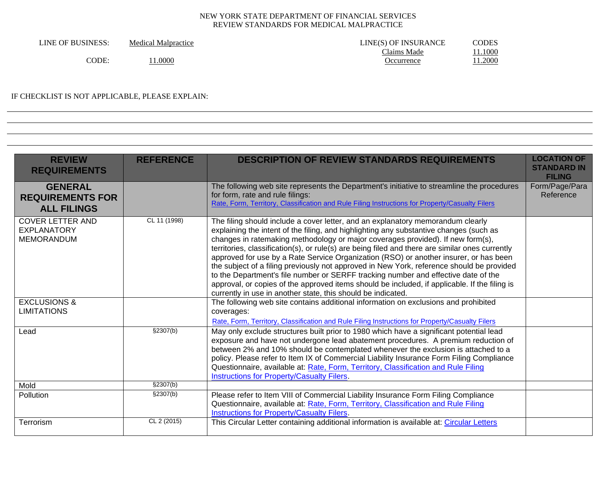| LINE OF BUSINESS: | <b>Medical Malpractice</b> | LINE(S) OF INSURANCE | CODES  |
|-------------------|----------------------------|----------------------|--------|
|                   |                            | Claims Made          | .1000  |
| 'ODE.             | 0000.1                     | <b>C</b> currence    | 1.2000 |

# IF CHECKLIST IS NOT APPLICABLE, PLEASE EXPLAIN:

| <b>REVIEW</b><br><b>REQUIREMENTS</b>                               | <b>REFERENCE</b> | <b>DESCRIPTION OF REVIEW STANDARDS REQUIREMENTS</b>                                                                                                                                                                                                                                                                                                                                                                                                                                                                                                                                                                                                                                                                                                                                                          | <b>LOCATION OF</b><br><b>STANDARD IN</b><br><b>FILING</b> |
|--------------------------------------------------------------------|------------------|--------------------------------------------------------------------------------------------------------------------------------------------------------------------------------------------------------------------------------------------------------------------------------------------------------------------------------------------------------------------------------------------------------------------------------------------------------------------------------------------------------------------------------------------------------------------------------------------------------------------------------------------------------------------------------------------------------------------------------------------------------------------------------------------------------------|-----------------------------------------------------------|
| <b>GENERAL</b><br><b>REQUIREMENTS FOR</b><br><b>ALL FILINGS</b>    |                  | The following web site represents the Department's initiative to streamline the procedures<br>for form, rate and rule filings:<br>Rate, Form, Territory, Classification and Rule Filing Instructions for Property/Casualty Filers                                                                                                                                                                                                                                                                                                                                                                                                                                                                                                                                                                            | Form/Page/Para<br>Reference                               |
| <b>COVER LETTER AND</b><br><b>EXPLANATORY</b><br><b>MEMORANDUM</b> | CL 11 (1998)     | The filing should include a cover letter, and an explanatory memorandum clearly<br>explaining the intent of the filing, and highlighting any substantive changes (such as<br>changes in ratemaking methodology or major coverages provided). If new form(s),<br>territories, classification(s), or rule(s) are being filed and there are similar ones currently<br>approved for use by a Rate Service Organization (RSO) or another insurer, or has been<br>the subject of a filing previously not approved in New York, reference should be provided<br>to the Department's file number or SERFF tracking number and effective date of the<br>approval, or copies of the approved items should be included, if applicable. If the filing is<br>currently in use in another state, this should be indicated. |                                                           |
| <b>EXCLUSIONS &amp;</b><br><b>LIMITATIONS</b>                      |                  | The following web site contains additional information on exclusions and prohibited<br>coverages:<br>Rate, Form, Territory, Classification and Rule Filing Instructions for Property/Casualty Filers                                                                                                                                                                                                                                                                                                                                                                                                                                                                                                                                                                                                         |                                                           |
| Lead                                                               | §2307(b)         | May only exclude structures built prior to 1980 which have a significant potential lead<br>exposure and have not undergone lead abatement procedures. A premium reduction of<br>between 2% and 10% should be contemplated whenever the exclusion is attached to a<br>policy. Please refer to Item IX of Commercial Liability Insurance Form Filing Compliance<br>Questionnaire, available at: Rate, Form, Territory, Classification and Rule Filing<br>Instructions for Property/Casualty Filers.                                                                                                                                                                                                                                                                                                            |                                                           |
| Mold                                                               | \$2307(b)        |                                                                                                                                                                                                                                                                                                                                                                                                                                                                                                                                                                                                                                                                                                                                                                                                              |                                                           |
| <b>Pollution</b>                                                   | \$2307(b)        | Please refer to Item VIII of Commercial Liability Insurance Form Filing Compliance<br>Questionnaire, available at: Rate, Form, Territory, Classification and Rule Filing<br><b>Instructions for Property/Casualty Filers.</b>                                                                                                                                                                                                                                                                                                                                                                                                                                                                                                                                                                                |                                                           |
| Terrorism                                                          | CL 2 (2015)      | This Circular Letter containing additional information is available at: Circular Letters                                                                                                                                                                                                                                                                                                                                                                                                                                                                                                                                                                                                                                                                                                                     |                                                           |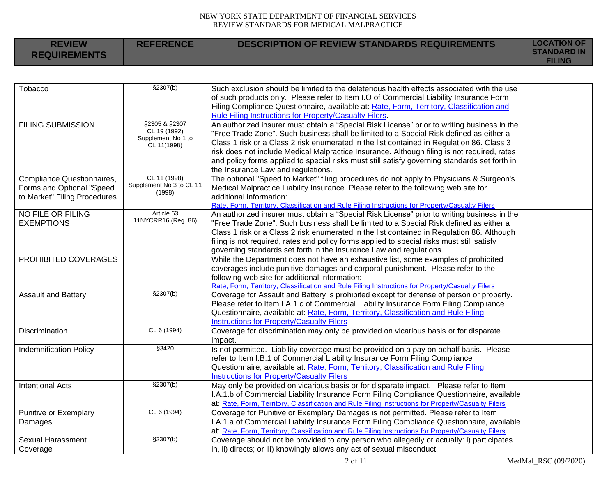| <b>REVIEW</b><br><b>REQUIREMENTS</b> | <b>REFERENCE</b> | DESCRIPTION OF REVIEW STANDARDS REQUIREMENTS | <b>LOCATION OF</b><br><b>STANDARD IN</b><br><b>FILING</b> |
|--------------------------------------|------------------|----------------------------------------------|-----------------------------------------------------------|
|                                      |                  |                                              |                                                           |

| Tobacco                       | \$2307(b)                          | Such exclusion should be limited to the deleterious health effects associated with the use          |  |
|-------------------------------|------------------------------------|-----------------------------------------------------------------------------------------------------|--|
|                               |                                    | of such products only. Please refer to Item I.O of Commercial Liability Insurance Form              |  |
|                               |                                    | Filing Compliance Questionnaire, available at: Rate, Form, Territory, Classification and            |  |
|                               |                                    | Rule Filing Instructions for Property/Casualty Filers.                                              |  |
| <b>FILING SUBMISSION</b>      | §2305 & §2307                      | An authorized insurer must obtain a "Special Risk License" prior to writing business in the         |  |
|                               | CL 19 (1992)<br>Supplement No 1 to | "Free Trade Zone". Such business shall be limited to a Special Risk defined as either a             |  |
|                               | CL 11(1998)                        | Class 1 risk or a Class 2 risk enumerated in the list contained in Regulation 86. Class 3           |  |
|                               |                                    | risk does not include Medical Malpractice Insurance. Although filing is not required, rates         |  |
|                               |                                    | and policy forms applied to special risks must still satisfy governing standards set forth in       |  |
|                               |                                    | the Insurance Law and regulations.                                                                  |  |
| Compliance Questionnaires,    | CL 11 (1998)                       | The optional "Speed to Market" filing procedures do not apply to Physicians & Surgeon's             |  |
| Forms and Optional "Speed     | Supplement No 3 to CL 11           | Medical Malpractice Liability Insurance. Please refer to the following web site for                 |  |
| to Market" Filing Procedures  | (1998)                             | additional information:                                                                             |  |
|                               |                                    | Rate, Form, Territory, Classification and Rule Filing Instructions for Property/Casualty Filers     |  |
| NO FILE OR FILING             | Article 63                         | An authorized insurer must obtain a "Special Risk License" prior to writing business in the         |  |
| <b>EXEMPTIONS</b>             | 11NYCRR16 (Reg. 86)                | "Free Trade Zone". Such business shall be limited to a Special Risk defined as either a             |  |
|                               |                                    | Class 1 risk or a Class 2 risk enumerated in the list contained in Regulation 86. Although          |  |
|                               |                                    | filing is not required, rates and policy forms applied to special risks must still satisfy          |  |
|                               |                                    | governing standards set forth in the Insurance Law and regulations.                                 |  |
| PROHIBITED COVERAGES          |                                    | While the Department does not have an exhaustive list, some examples of prohibited                  |  |
|                               |                                    | coverages include punitive damages and corporal punishment. Please refer to the                     |  |
|                               |                                    | following web site for additional information:                                                      |  |
|                               |                                    | Rate, Form, Territory, Classification and Rule Filing Instructions for Property/Casualty Filers     |  |
| <b>Assault and Battery</b>    | §2307(b)                           | Coverage for Assault and Battery is prohibited except for defense of person or property.            |  |
|                               |                                    | Please refer to Item I.A.1.c of Commercial Liability Insurance Form Filing Compliance               |  |
|                               |                                    | Questionnaire, available at: Rate, Form, Territory, Classification and Rule Filing                  |  |
|                               |                                    | <b>Instructions for Property/Casualty Filers</b>                                                    |  |
| Discrimination                | CL 6 (1994)                        | Coverage for discrimination may only be provided on vicarious basis or for disparate                |  |
|                               |                                    | impact.                                                                                             |  |
| <b>Indemnification Policy</b> | §3420                              | Is not permitted. Liability coverage must be provided on a pay on behalf basis. Please              |  |
|                               |                                    | refer to Item I.B.1 of Commercial Liability Insurance Form Filing Compliance                        |  |
|                               |                                    | Questionnaire, available at: Rate, Form, Territory, Classification and Rule Filing                  |  |
|                               |                                    | <b>Instructions for Property/Casualty Filers</b>                                                    |  |
| <b>Intentional Acts</b>       | \$2307(b)                          | May only be provided on vicarious basis or for disparate impact. Please refer to Item               |  |
|                               |                                    | I.A.1.b of Commercial Liability Insurance Form Filing Compliance Questionnaire, available           |  |
|                               |                                    | at: Rate, Form, Territory, Classification and Rule Filing Instructions for Property/Casualty Filers |  |
| Punitive or Exemplary         | CL 6 (1994)                        | Coverage for Punitive or Exemplary Damages is not permitted. Please refer to Item                   |  |
| Damages                       |                                    | I.A.1.a of Commercial Liability Insurance Form Filing Compliance Questionnaire, available           |  |
|                               |                                    | at: Rate, Form, Territory, Classification and Rule Filing Instructions for Property/Casualty Filers |  |
| <b>Sexual Harassment</b>      | \$2307(b)                          | Coverage should not be provided to any person who allegedly or actually: i) participates            |  |
| Coverage                      |                                    | in, ii) directs; or iii) knowingly allows any act of sexual misconduct.                             |  |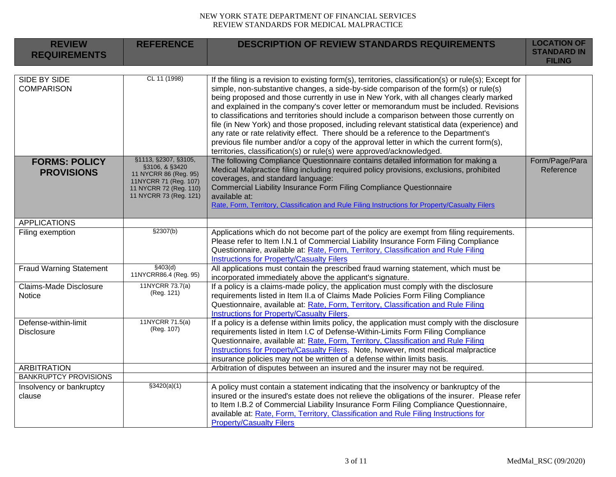| <b>REVIEW</b><br><b>REQUIREMENTS</b>      | <b>REFERENCE</b>                                                                                                                             | <b>DESCRIPTION OF REVIEW STANDARDS REQUIREMENTS</b>                                                                                                                                                                                                                                                                                                                                                                                                                                                                                                                                                                                                                                                                                                                                                                                      | <b>LOCATION OF</b><br><b>STANDARD IN</b><br><b>FILING</b> |
|-------------------------------------------|----------------------------------------------------------------------------------------------------------------------------------------------|------------------------------------------------------------------------------------------------------------------------------------------------------------------------------------------------------------------------------------------------------------------------------------------------------------------------------------------------------------------------------------------------------------------------------------------------------------------------------------------------------------------------------------------------------------------------------------------------------------------------------------------------------------------------------------------------------------------------------------------------------------------------------------------------------------------------------------------|-----------------------------------------------------------|
| SIDE BY SIDE<br><b>COMPARISON</b>         | CL 11 (1998)                                                                                                                                 | If the filing is a revision to existing form(s), territories, classification(s) or rule(s); Except for<br>simple, non-substantive changes, a side-by-side comparison of the form(s) or rule(s)<br>being proposed and those currently in use in New York, with all changes clearly marked<br>and explained in the company's cover letter or memorandum must be included. Revisions<br>to classifications and territories should include a comparison between those currently on<br>file (in New York) and those proposed, including relevant statistical data (experience) and<br>any rate or rate relativity effect. There should be a reference to the Department's<br>previous file number and/or a copy of the approval letter in which the current form(s),<br>territories, classification(s) or rule(s) were approved/acknowledged. |                                                           |
| <b>FORMS: POLICY</b><br><b>PROVISIONS</b> | §1113, §2307, §3105,<br>§3106, & §3420<br>11 NYCRR 86 (Reg. 95)<br>11NYCRR 71 (Reg. 107)<br>11 NYCRR 72 (Reg. 110)<br>11 NYCRR 73 (Reg. 121) | The following Compliance Questionnaire contains detailed information for making a<br>Medical Malpractice filing including required policy provisions, exclusions, prohibited<br>coverages, and standard language:<br>Commercial Liability Insurance Form Filing Compliance Questionnaire<br>available at:<br>Rate, Form, Territory, Classification and Rule Filing Instructions for Property/Casualty Filers                                                                                                                                                                                                                                                                                                                                                                                                                             | Form/Page/Para<br>Reference                               |
| <b>APPLICATIONS</b>                       |                                                                                                                                              |                                                                                                                                                                                                                                                                                                                                                                                                                                                                                                                                                                                                                                                                                                                                                                                                                                          |                                                           |
| Filing exemption                          | \$2307(b)                                                                                                                                    | Applications which do not become part of the policy are exempt from filing requirements.<br>Please refer to Item I.N.1 of Commercial Liability Insurance Form Filing Compliance<br>Questionnaire, available at: Rate, Form, Territory, Classification and Rule Filing<br><b>Instructions for Property/Casualty Filers</b>                                                                                                                                                                                                                                                                                                                                                                                                                                                                                                                |                                                           |
| <b>Fraud Warning Statement</b>            | \$403(d)<br>11NYCRR86.4 (Reg. 95)                                                                                                            | All applications must contain the prescribed fraud warning statement, which must be<br>incorporated immediately above the applicant's signature.                                                                                                                                                                                                                                                                                                                                                                                                                                                                                                                                                                                                                                                                                         |                                                           |
| <b>Claims-Made Disclosure</b><br>Notice   | 11NYCRR 73.7(a)<br>(Reg. 121)                                                                                                                | If a policy is a claims-made policy, the application must comply with the disclosure<br>requirements listed in Item II.a of Claims Made Policies Form Filing Compliance<br>Questionnaire, available at: Rate, Form, Territory, Classification and Rule Filing<br>Instructions for Property/Casualty Filers.                                                                                                                                                                                                                                                                                                                                                                                                                                                                                                                              |                                                           |
| Defense-within-limit<br><b>Disclosure</b> | 11NYCRR 71.5(a)<br>(Reg. 107)                                                                                                                | If a policy is a defense within limits policy, the application must comply with the disclosure<br>requirements listed in Item I.C of Defense-Within-Limits Form Filing Compliance<br>Questionnaire, available at: Rate, Form, Territory, Classification and Rule Filing<br>Instructions for Property/Casualty Filers. Note, however, most medical malpractice<br>insurance policies may not be written of a defense within limits basis.                                                                                                                                                                                                                                                                                                                                                                                                 |                                                           |
| <b>ARBITRATION</b>                        |                                                                                                                                              | Arbitration of disputes between an insured and the insurer may not be required.                                                                                                                                                                                                                                                                                                                                                                                                                                                                                                                                                                                                                                                                                                                                                          |                                                           |
| <b>BANKRUPTCY PROVISIONS</b>              |                                                                                                                                              |                                                                                                                                                                                                                                                                                                                                                                                                                                                                                                                                                                                                                                                                                                                                                                                                                                          |                                                           |
| Insolvency or bankruptcy<br>clause        | $\sqrt{3420(a)(1)}$                                                                                                                          | A policy must contain a statement indicating that the insolvency or bankruptcy of the<br>insured or the insured's estate does not relieve the obligations of the insurer. Please refer<br>to Item I.B.2 of Commercial Liability Insurance Form Filing Compliance Questionnaire,<br>available at: Rate, Form, Territory, Classification and Rule Filing Instructions for<br><b>Property/Casualty Filers</b>                                                                                                                                                                                                                                                                                                                                                                                                                               |                                                           |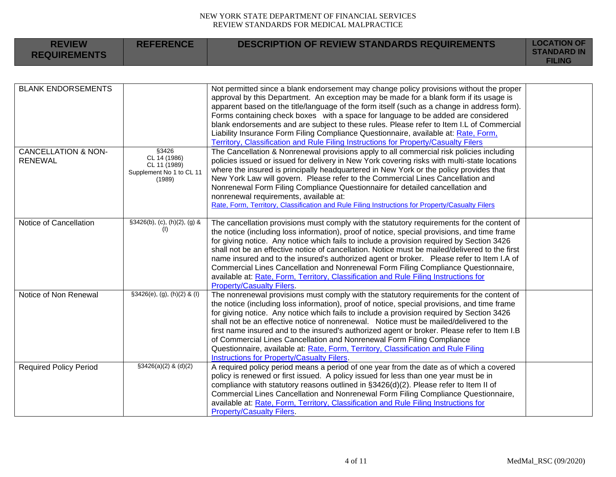| <b>REVIEW</b><br><b>REQUIREMENTS</b>             | <b>REFERENCE</b>                                                            | <b>DESCRIPTION OF REVIEW STANDARDS REQUIREMENTS</b>                                                                                                                                                                                                                                                                                                                                                                                                                                                                                                                                                                                                                                                      | <b>LOCATION OF</b><br><b>STANDARD IN</b><br><b>FILING</b> |
|--------------------------------------------------|-----------------------------------------------------------------------------|----------------------------------------------------------------------------------------------------------------------------------------------------------------------------------------------------------------------------------------------------------------------------------------------------------------------------------------------------------------------------------------------------------------------------------------------------------------------------------------------------------------------------------------------------------------------------------------------------------------------------------------------------------------------------------------------------------|-----------------------------------------------------------|
|                                                  |                                                                             |                                                                                                                                                                                                                                                                                                                                                                                                                                                                                                                                                                                                                                                                                                          |                                                           |
| <b>BLANK ENDORSEMENTS</b>                        |                                                                             | Not permitted since a blank endorsement may change policy provisions without the proper<br>approval by this Department. An exception may be made for a blank form if its usage is<br>apparent based on the title/language of the form itself (such as a change in address form).<br>Forms containing check boxes with a space for language to be added are considered<br>blank endorsements and are subject to these rules. Please refer to Item I.L of Commercial<br>Liability Insurance Form Filing Compliance Questionnaire, available at: Rate, Form,<br>Territory, Classification and Rule Filing Instructions for Property/Casualty Filers                                                         |                                                           |
| <b>CANCELLATION &amp; NON-</b><br><b>RENEWAL</b> | §3426<br>CL 14 (1986)<br>CL 11 (1989)<br>Supplement No 1 to CL 11<br>(1989) | The Cancellation & Nonrenewal provisions apply to all commercial risk policies including<br>policies issued or issued for delivery in New York covering risks with multi-state locations<br>where the insured is principally headquartered in New York or the policy provides that<br>New York Law will govern. Please refer to the Commercial Lines Cancellation and<br>Nonrenewal Form Filing Compliance Questionnaire for detailed cancellation and<br>nonrenewal requirements, available at:<br>Rate, Form, Territory, Classification and Rule Filing Instructions for Property/Casualty Filers                                                                                                      |                                                           |
| Notice of Cancellation                           | $§3426(b), (c), (h)(2), (g)$ &<br>(1)                                       | The cancellation provisions must comply with the statutory requirements for the content of<br>the notice (including loss information), proof of notice, special provisions, and time frame<br>for giving notice. Any notice which fails to include a provision required by Section 3426<br>shall not be an effective notice of cancellation. Notice must be mailed/delivered to the first<br>name insured and to the insured's authorized agent or broker. Please refer to Item I.A of<br>Commercial Lines Cancellation and Nonrenewal Form Filing Compliance Questionnaire,<br>available at: Rate, Form, Territory, Classification and Rule Filing Instructions for<br><b>Property/Casualty Filers.</b> |                                                           |
| Notice of Non Renewal                            | $§3426(e), (g), (h)(2)$ & (I)                                               | The nonrenewal provisions must comply with the statutory requirements for the content of<br>the notice (including loss information), proof of notice, special provisions, and time frame<br>for giving notice. Any notice which fails to include a provision required by Section 3426<br>shall not be an effective notice of nonrenewal. Notice must be mailed/delivered to the<br>first name insured and to the insured's authorized agent or broker. Please refer to Item I.B<br>of Commercial Lines Cancellation and Nonrenewal Form Filing Compliance<br>Questionnaire, available at: Rate, Form, Territory, Classification and Rule Filing<br>Instructions for Property/Casualty Filers.            |                                                           |
| <b>Required Policy Period</b>                    | $$3426(a)(2)$ & (d)(2)                                                      | A required policy period means a period of one year from the date as of which a covered<br>policy is renewed or first issued. A policy issued for less than one year must be in<br>compliance with statutory reasons outlined in §3426(d)(2). Please refer to Item II of<br>Commercial Lines Cancellation and Nonrenewal Form Filing Compliance Questionnaire,<br>available at: Rate, Form, Territory, Classification and Rule Filing Instructions for<br><b>Property/Casualty Filers.</b>                                                                                                                                                                                                               |                                                           |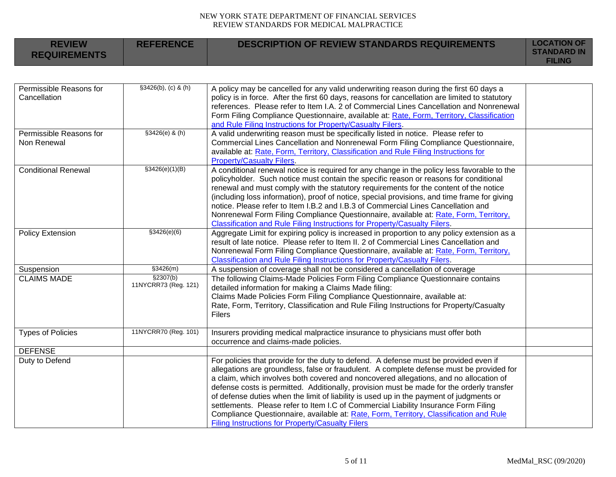| <b>REVIEW</b><br><b>REQUIREMENTS</b>    | <b>REFERENCE</b>                  | <b>DESCRIPTION OF REVIEW STANDARDS REQUIREMENTS</b>                                                                                                                                                                                                                                                                                                                                                                                                                                                                                                                                                                                                                                                           | <b>LOCATION OF</b><br><b>STANDARD IN</b><br><b>FILING</b> |
|-----------------------------------------|-----------------------------------|---------------------------------------------------------------------------------------------------------------------------------------------------------------------------------------------------------------------------------------------------------------------------------------------------------------------------------------------------------------------------------------------------------------------------------------------------------------------------------------------------------------------------------------------------------------------------------------------------------------------------------------------------------------------------------------------------------------|-----------------------------------------------------------|
|                                         |                                   |                                                                                                                                                                                                                                                                                                                                                                                                                                                                                                                                                                                                                                                                                                               |                                                           |
| Permissible Reasons for<br>Cancellation | \$3426(b), (c) & (h)              | A policy may be cancelled for any valid underwriting reason during the first 60 days a<br>policy is in force. After the first 60 days, reasons for cancellation are limited to statutory<br>references. Please refer to Item I.A. 2 of Commercial Lines Cancellation and Nonrenewal<br>Form Filing Compliance Questionnaire, available at: Rate, Form, Territory, Classification<br>and Rule Filing Instructions for Property/Casualty Filers.                                                                                                                                                                                                                                                                |                                                           |
| Permissible Reasons for<br>Non Renewal  | $$3426(e)$ & (h)                  | A valid underwriting reason must be specifically listed in notice. Please refer to<br>Commercial Lines Cancellation and Nonrenewal Form Filing Compliance Questionnaire,<br>available at: Rate, Form, Territory, Classification and Rule Filing Instructions for<br><b>Property/Casualty Filers.</b>                                                                                                                                                                                                                                                                                                                                                                                                          |                                                           |
| <b>Conditional Renewal</b>              | \$3426(e)(1)(B)                   | A conditional renewal notice is required for any change in the policy less favorable to the<br>policyholder. Such notice must contain the specific reason or reasons for conditional<br>renewal and must comply with the statutory requirements for the content of the notice<br>(including loss information), proof of notice, special provisions, and time frame for giving<br>notice. Please refer to Item I.B.2 and I.B.3 of Commercial Lines Cancellation and<br>Nonrenewal Form Filing Compliance Questionnaire, available at: Rate, Form, Territory,<br>Classification and Rule Filing Instructions for Property/Casualty Filers.                                                                      |                                                           |
| Policy Extension                        | \$3426(e)(6)                      | Aggregate Limit for expiring policy is increased in proportion to any policy extension as a<br>result of late notice. Please refer to Item II. 2 of Commercial Lines Cancellation and<br>Nonrenewal Form Filing Compliance Questionnaire, available at: Rate, Form, Territory,<br>Classification and Rule Filing Instructions for Property/Casualty Filers.                                                                                                                                                                                                                                                                                                                                                   |                                                           |
| Suspension                              | \$3426(m)                         | A suspension of coverage shall not be considered a cancellation of coverage                                                                                                                                                                                                                                                                                                                                                                                                                                                                                                                                                                                                                                   |                                                           |
| <b>CLAIMS MADE</b>                      | \$2307(b)<br>11NYCRR73 (Reg. 121) | The following Claims-Made Policies Form Filing Compliance Questionnaire contains<br>detailed information for making a Claims Made filing:<br>Claims Made Policies Form Filing Compliance Questionnaire, available at:<br>Rate, Form, Territory, Classification and Rule Filing Instructions for Property/Casualty<br><b>Filers</b>                                                                                                                                                                                                                                                                                                                                                                            |                                                           |
| <b>Types of Policies</b>                | 11NYCRR70 (Reg. 101)              | Insurers providing medical malpractice insurance to physicians must offer both<br>occurrence and claims-made policies.                                                                                                                                                                                                                                                                                                                                                                                                                                                                                                                                                                                        |                                                           |
| <b>DEFENSE</b>                          |                                   |                                                                                                                                                                                                                                                                                                                                                                                                                                                                                                                                                                                                                                                                                                               |                                                           |
| Duty to Defend                          |                                   | For policies that provide for the duty to defend. A defense must be provided even if<br>allegations are groundless, false or fraudulent. A complete defense must be provided for<br>a claim, which involves both covered and noncovered allegations, and no allocation of<br>defense costs is permitted. Additionally, provision must be made for the orderly transfer<br>of defense duties when the limit of liability is used up in the payment of judgments or<br>settlements. Please refer to Item I.C of Commercial Liability Insurance Form Filing<br>Compliance Questionnaire, available at: Rate, Form, Territory, Classification and Rule<br><b>Filing Instructions for Property/Casualty Filers</b> |                                                           |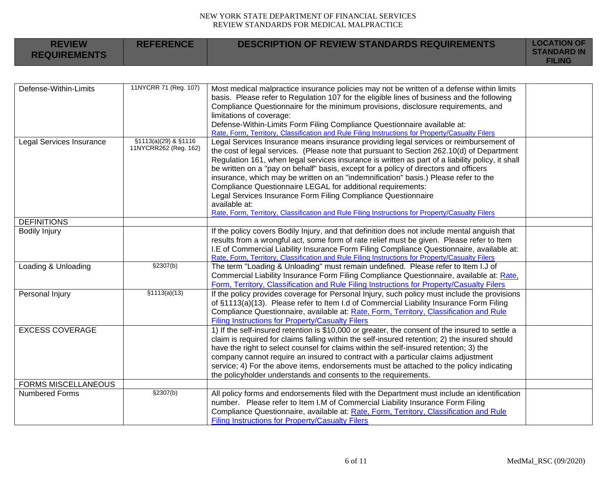| <b>REVIEW</b><br><b>REQUIREMENTS</b> | <b>REFERENCE</b>                              | <b>DESCRIPTION OF REVIEW STANDARDS REQUIREMENTS</b>                                                                                                                                                                                                                                                                                                                                                                                                                                                                                                                                                                                                                                                                       | <b>LOCATION OF</b><br><b>STANDARD IN</b><br><b>FILING</b> |
|--------------------------------------|-----------------------------------------------|---------------------------------------------------------------------------------------------------------------------------------------------------------------------------------------------------------------------------------------------------------------------------------------------------------------------------------------------------------------------------------------------------------------------------------------------------------------------------------------------------------------------------------------------------------------------------------------------------------------------------------------------------------------------------------------------------------------------------|-----------------------------------------------------------|
|                                      |                                               |                                                                                                                                                                                                                                                                                                                                                                                                                                                                                                                                                                                                                                                                                                                           |                                                           |
| Defense-Within-Limits                | 11NYCRR 71 (Reg. 107)                         | Most medical malpractice insurance policies may not be written of a defense within limits<br>basis. Please refer to Regulation 107 for the eligible lines of business and the following<br>Compliance Questionnaire for the minimum provisions, disclosure requirements, and<br>limitations of coverage:<br>Defense-Within-Limits Form Filing Compliance Questionnaire available at:<br>Rate, Form, Territory, Classification and Rule Filing Instructions for Property/Casualty Filers                                                                                                                                                                                                                                   |                                                           |
| Legal Services Insurance             | §1113(a)(29) & §1116<br>11NYCRR262 (Reg. 162) | Legal Services Insurance means insurance providing legal services or reimbursement of<br>the cost of legal services. (Please note that pursuant to Section 262.10(d) of Department<br>Regulation 161, when legal services insurance is written as part of a liability policy, it shall<br>be written on a "pay on behalf" basis, except for a policy of directors and officers<br>insurance, which may be written on an "indemnification" basis.) Please refer to the<br>Compliance Questionnaire LEGAL for additional requirements:<br>Legal Services Insurance Form Filing Compliance Questionnaire<br>available at:<br>Rate, Form, Territory, Classification and Rule Filing Instructions for Property/Casualty Filers |                                                           |
| <b>DEFINITIONS</b>                   |                                               |                                                                                                                                                                                                                                                                                                                                                                                                                                                                                                                                                                                                                                                                                                                           |                                                           |
| <b>Bodily Injury</b>                 |                                               | If the policy covers Bodily Injury, and that definition does not include mental anguish that<br>results from a wrongful act, some form of rate relief must be given. Please refer to Item<br>I.E of Commercial Liability Insurance Form Filing Compliance Questionnaire, available at:<br>Rate, Form, Territory, Classification and Rule Filing Instructions for Property/Casualty Filers                                                                                                                                                                                                                                                                                                                                 |                                                           |
| Loading & Unloading                  | \$2307(b)                                     | The term "Loading & Unloading" must remain undefined. Please refer to Item I.J of<br>Commercial Liability Insurance Form Filing Compliance Questionnaire, available at: Rate,<br>Form, Territory, Classification and Rule Filing Instructions for Property/Casualty Filers                                                                                                                                                                                                                                                                                                                                                                                                                                                |                                                           |
| Personal Injury                      | \$1113(a)(13)                                 | If the policy provides coverage for Personal Injury, such policy must include the provisions<br>of §1113(a)(13). Please refer to Item I.d of Commercial Liability Insurance Form Filing<br>Compliance Questionnaire, available at: Rate, Form, Territory, Classification and Rule<br><b>Filing Instructions for Property/Casualty Filers</b>                                                                                                                                                                                                                                                                                                                                                                              |                                                           |
| <b>EXCESS COVERAGE</b>               |                                               | 1) If the self-insured retention is \$10,000 or greater, the consent of the insured to settle a<br>claim is required for claims falling within the self-insured retention; 2) the insured should<br>have the right to select counsel for claims within the self-insured retention; 3) the<br>company cannot require an insured to contract with a particular claims adjustment<br>service; 4) For the above items, endorsements must be attached to the policy indicating<br>the policyholder understands and consents to the requirements.                                                                                                                                                                               |                                                           |
| <b>FORMS MISCELLANEOUS</b>           |                                               |                                                                                                                                                                                                                                                                                                                                                                                                                                                                                                                                                                                                                                                                                                                           |                                                           |
| <b>Numbered Forms</b>                | \$2307(b)                                     | All policy forms and endorsements filed with the Department must include an identification<br>number. Please refer to Item I.M of Commercial Liability Insurance Form Filing<br>Compliance Questionnaire, available at: Rate, Form, Territory, Classification and Rule<br><b>Filing Instructions for Property/Casualty Filers</b>                                                                                                                                                                                                                                                                                                                                                                                         |                                                           |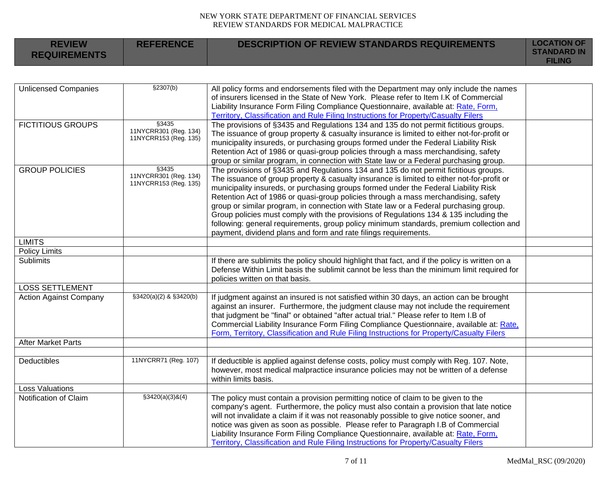**REFERENCE DESCRIPTION OF REVIEW STANDARDS REQUIREMENTS LOCATION OF** 

**REVIEW** 

| <b>KEVIEW</b><br><b>REQUIREMENTS</b> | REFERENCE                                               | DESCRIPTION OF REVIEW STANDARDS REQUIREMENTS                                                                                                                                                                                                                                                                                                                                                                                                                                                                                                                                                                                                                                                                    | LUUN I UN UI<br><b>STANDARD IN</b><br><b>FILING</b> |
|--------------------------------------|---------------------------------------------------------|-----------------------------------------------------------------------------------------------------------------------------------------------------------------------------------------------------------------------------------------------------------------------------------------------------------------------------------------------------------------------------------------------------------------------------------------------------------------------------------------------------------------------------------------------------------------------------------------------------------------------------------------------------------------------------------------------------------------|-----------------------------------------------------|
|                                      |                                                         |                                                                                                                                                                                                                                                                                                                                                                                                                                                                                                                                                                                                                                                                                                                 |                                                     |
| <b>Unlicensed Companies</b>          | \$2307(b)                                               | All policy forms and endorsements filed with the Department may only include the names<br>of insurers licensed in the State of New York. Please refer to Item I.K of Commercial<br>Liability Insurance Form Filing Compliance Questionnaire, available at: Rate, Form,<br>Territory, Classification and Rule Filing Instructions for Property/Casualty Filers                                                                                                                                                                                                                                                                                                                                                   |                                                     |
| <b>FICTITIOUS GROUPS</b>             | §3435<br>11NYCRR301 (Reg. 134)<br>11NYCRR153 (Reg. 135) | The provisions of §3435 and Regulations 134 and 135 do not permit fictitious groups.<br>The issuance of group property & casualty insurance is limited to either not-for-profit or<br>municipality insureds, or purchasing groups formed under the Federal Liability Risk<br>Retention Act of 1986 or quasi-group policies through a mass merchandising, safety<br>group or similar program, in connection with State law or a Federal purchasing group.                                                                                                                                                                                                                                                        |                                                     |
| <b>GROUP POLICIES</b>                | §3435<br>11NYCRR301 (Reg. 134)<br>11NYCRR153 (Reg. 135) | The provisions of §3435 and Regulations 134 and 135 do not permit fictitious groups.<br>The issuance of group property & casualty insurance is limited to either not-for-profit or<br>municipality insureds, or purchasing groups formed under the Federal Liability Risk<br>Retention Act of 1986 or quasi-group policies through a mass merchandising, safety<br>group or similar program, in connection with State law or a Federal purchasing group.<br>Group policies must comply with the provisions of Regulations 134 & 135 including the<br>following: general requirements, group policy minimum standards, premium collection and<br>payment, dividend plans and form and rate filings requirements. |                                                     |
| <b>LIMITS</b>                        |                                                         |                                                                                                                                                                                                                                                                                                                                                                                                                                                                                                                                                                                                                                                                                                                 |                                                     |
| <b>Policy Limits</b>                 |                                                         |                                                                                                                                                                                                                                                                                                                                                                                                                                                                                                                                                                                                                                                                                                                 |                                                     |
| <b>Sublimits</b>                     |                                                         | If there are sublimits the policy should highlight that fact, and if the policy is written on a<br>Defense Within Limit basis the sublimit cannot be less than the minimum limit required for<br>policies written on that basis.                                                                                                                                                                                                                                                                                                                                                                                                                                                                                |                                                     |
| <b>LOSS SETTLEMENT</b>               |                                                         |                                                                                                                                                                                                                                                                                                                                                                                                                                                                                                                                                                                                                                                                                                                 |                                                     |
| <b>Action Against Company</b>        | §3420(a)(2) & §3420(b)                                  | If judgment against an insured is not satisfied within 30 days, an action can be brought<br>against an insurer. Furthermore, the judgment clause may not include the requirement<br>that judgment be "final" or obtained "after actual trial." Please refer to Item I.B of<br>Commercial Liability Insurance Form Filing Compliance Questionnaire, available at: Rate.<br>Form, Territory, Classification and Rule Filing Instructions for Property/Casualty Filers                                                                                                                                                                                                                                             |                                                     |
| <b>After Market Parts</b>            |                                                         |                                                                                                                                                                                                                                                                                                                                                                                                                                                                                                                                                                                                                                                                                                                 |                                                     |
|                                      |                                                         |                                                                                                                                                                                                                                                                                                                                                                                                                                                                                                                                                                                                                                                                                                                 |                                                     |
| <b>Deductibles</b>                   | 11NYCRR71 (Reg. 107)                                    | If deductible is applied against defense costs, policy must comply with Reg. 107. Note,<br>however, most medical malpractice insurance policies may not be written of a defense<br>within limits basis.                                                                                                                                                                                                                                                                                                                                                                                                                                                                                                         |                                                     |
| <b>Loss Valuations</b>               |                                                         |                                                                                                                                                                                                                                                                                                                                                                                                                                                                                                                                                                                                                                                                                                                 |                                                     |
| Notification of Claim                | $$3420(a)(3)$ &(4)                                      | The policy must contain a provision permitting notice of claim to be given to the<br>company's agent. Furthermore, the policy must also contain a provision that late notice<br>will not invalidate a claim if it was not reasonably possible to give notice sooner, and<br>notice was given as soon as possible. Please refer to Paragraph I.B of Commercial<br>Liability Insurance Form Filing Compliance Questionnaire, available at: Rate, Form,<br>Territory, Classification and Rule Filing Instructions for Property/Casualty Filers                                                                                                                                                                     |                                                     |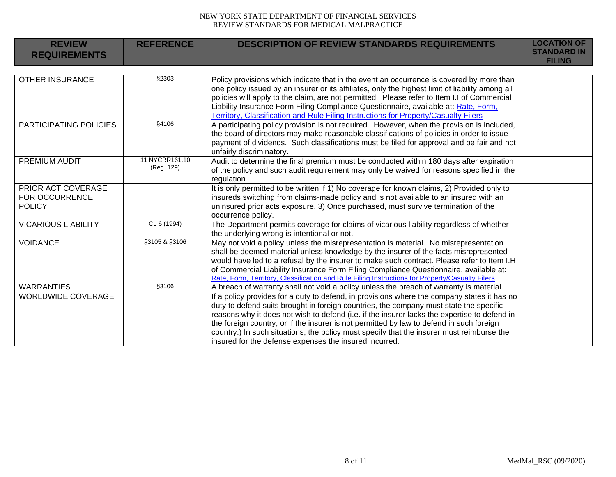| <b>REVIEW</b><br><b>REQUIREMENTS</b>                         | <b>REFERENCE</b>             | <b>DESCRIPTION OF REVIEW STANDARDS REQUIREMENTS</b>                                                                                                                                                                                                                                                                                                                                                                                                                                                                                      | <b>LOCATION OF</b><br><b>STANDARD IN</b><br><b>FILING</b> |
|--------------------------------------------------------------|------------------------------|------------------------------------------------------------------------------------------------------------------------------------------------------------------------------------------------------------------------------------------------------------------------------------------------------------------------------------------------------------------------------------------------------------------------------------------------------------------------------------------------------------------------------------------|-----------------------------------------------------------|
|                                                              |                              |                                                                                                                                                                                                                                                                                                                                                                                                                                                                                                                                          |                                                           |
| <b>OTHER INSURANCE</b>                                       | §2303                        | Policy provisions which indicate that in the event an occurrence is covered by more than<br>one policy issued by an insurer or its affiliates, only the highest limit of liability among all<br>policies will apply to the claim, are not permitted. Please refer to Item I.I of Commercial<br>Liability Insurance Form Filing Compliance Questionnaire, available at: Rate, Form,<br>Territory, Classification and Rule Filing Instructions for Property/Casualty Filers                                                                |                                                           |
| PARTICIPATING POLICIES                                       | §4106                        | A participating policy provision is not required. However, when the provision is included,<br>the board of directors may make reasonable classifications of policies in order to issue<br>payment of dividends. Such classifications must be filed for approval and be fair and not<br>unfairly discriminatory.                                                                                                                                                                                                                          |                                                           |
| PREMIUM AUDIT                                                | 11 NYCRR161.10<br>(Reg. 129) | Audit to determine the final premium must be conducted within 180 days after expiration<br>of the policy and such audit requirement may only be waived for reasons specified in the<br>regulation.                                                                                                                                                                                                                                                                                                                                       |                                                           |
| PRIOR ACT COVERAGE<br><b>FOR OCCURRENCE</b><br><b>POLICY</b> |                              | It is only permitted to be written if 1) No coverage for known claims, 2) Provided only to<br>insureds switching from claims-made policy and is not available to an insured with an<br>uninsured prior acts exposure, 3) Once purchased, must survive termination of the<br>occurrence policy.                                                                                                                                                                                                                                           |                                                           |
| <b>VICARIOUS LIABILITY</b>                                   | CL 6 (1994)                  | The Department permits coverage for claims of vicarious liability regardless of whether<br>the underlying wrong is intentional or not.                                                                                                                                                                                                                                                                                                                                                                                                   |                                                           |
| <b>VOIDANCE</b>                                              | §3105 & §3106                | May not void a policy unless the misrepresentation is material. No misrepresentation<br>shall be deemed material unless knowledge by the insurer of the facts misrepresented<br>would have led to a refusal by the insurer to make such contract. Please refer to Item I.H<br>of Commercial Liability Insurance Form Filing Compliance Questionnaire, available at:<br>Rate, Form, Territory, Classification and Rule Filing Instructions for Property/Casualty Filers                                                                   |                                                           |
| <b>WARRANTIES</b>                                            | §3106                        | A breach of warranty shall not void a policy unless the breach of warranty is material.                                                                                                                                                                                                                                                                                                                                                                                                                                                  |                                                           |
| <b>WORLDWIDE COVERAGE</b>                                    |                              | If a policy provides for a duty to defend, in provisions where the company states it has no<br>duty to defend suits brought in foreign countries, the company must state the specific<br>reasons why it does not wish to defend (i.e. if the insurer lacks the expertise to defend in<br>the foreign country, or if the insurer is not permitted by law to defend in such foreign<br>country.) In such situations, the policy must specify that the insurer must reimburse the<br>insured for the defense expenses the insured incurred. |                                                           |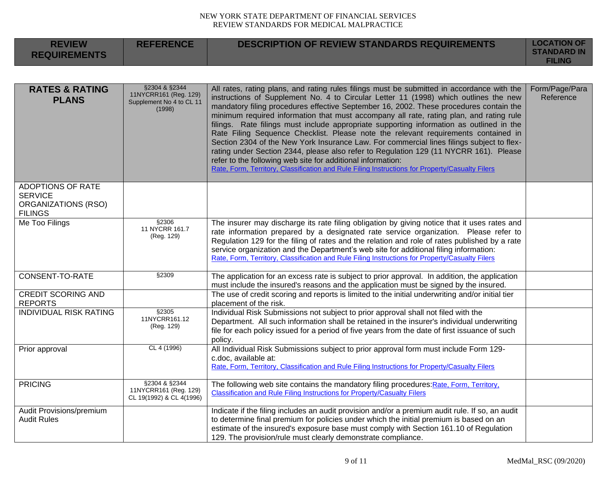| <b>REVIEW</b><br><b>REQUIREMENTS</b>                                                | <b>REFERENCE</b>                                                             | <b>DESCRIPTION OF REVIEW STANDARDS REQUIREMENTS</b>                                                                                                                                                                                                                                                                                                                                                                                                                                                                                                                                                                                                                                                                                                                                                                                                                                                               | <b>LOCATION OF</b><br><b>STANDARD IN</b><br><b>FILING</b> |
|-------------------------------------------------------------------------------------|------------------------------------------------------------------------------|-------------------------------------------------------------------------------------------------------------------------------------------------------------------------------------------------------------------------------------------------------------------------------------------------------------------------------------------------------------------------------------------------------------------------------------------------------------------------------------------------------------------------------------------------------------------------------------------------------------------------------------------------------------------------------------------------------------------------------------------------------------------------------------------------------------------------------------------------------------------------------------------------------------------|-----------------------------------------------------------|
|                                                                                     |                                                                              |                                                                                                                                                                                                                                                                                                                                                                                                                                                                                                                                                                                                                                                                                                                                                                                                                                                                                                                   |                                                           |
| <b>RATES &amp; RATING</b><br><b>PLANS</b>                                           | §2304 & §2344<br>11NYCRR161 (Reg. 129)<br>Supplement No 4 to CL 11<br>(1998) | All rates, rating plans, and rating rules filings must be submitted in accordance with the<br>instructions of Supplement No. 4 to Circular Letter 11 (1998) which outlines the new<br>mandatory filing procedures effective September 16, 2002. These procedures contain the<br>minimum required information that must accompany all rate, rating plan, and rating rule<br>filings. Rate filings must include appropriate supporting information as outlined in the<br>Rate Filing Sequence Checklist. Please note the relevant requirements contained in<br>Section 2304 of the New York Insurance Law. For commercial lines filings subject to flex-<br>rating under Section 2344, please also refer to Regulation 129 (11 NYCRR 161). Please<br>refer to the following web site for additional information:<br>Rate, Form, Territory, Classification and Rule Filing Instructions for Property/Casualty Filers | Form/Page/Para<br>Reference                               |
| <b>ADOPTIONS OF RATE</b><br><b>SERVICE</b><br>ORGANIZATIONS (RSO)<br><b>FILINGS</b> |                                                                              |                                                                                                                                                                                                                                                                                                                                                                                                                                                                                                                                                                                                                                                                                                                                                                                                                                                                                                                   |                                                           |
| Me Too Filings                                                                      | §2306<br>11 NYCRR 161.7<br>(Reg. 129)                                        | The insurer may discharge its rate filing obligation by giving notice that it uses rates and<br>rate information prepared by a designated rate service organization. Please refer to<br>Regulation 129 for the filing of rates and the relation and role of rates published by a rate<br>service organization and the Department's web site for additional filing information:<br>Rate, Form, Territory, Classification and Rule Filing Instructions for Property/Casualty Filers                                                                                                                                                                                                                                                                                                                                                                                                                                 |                                                           |
| CONSENT-TO-RATE                                                                     | §2309                                                                        | The application for an excess rate is subject to prior approval. In addition, the application<br>must include the insured's reasons and the application must be signed by the insured.                                                                                                                                                                                                                                                                                                                                                                                                                                                                                                                                                                                                                                                                                                                            |                                                           |
| <b>CREDIT SCORING AND</b><br><b>REPORTS</b>                                         |                                                                              | The use of credit scoring and reports is limited to the initial underwriting and/or initial tier<br>placement of the risk.                                                                                                                                                                                                                                                                                                                                                                                                                                                                                                                                                                                                                                                                                                                                                                                        |                                                           |
| <b>INDIVIDUAL RISK RATING</b>                                                       | §2305<br>11NYCRR161.12<br>(Reg. 129)                                         | Individual Risk Submissions not subject to prior approval shall not filed with the<br>Department. All such information shall be retained in the insurer's individual underwriting<br>file for each policy issued for a period of five years from the date of first issuance of such<br>policy.                                                                                                                                                                                                                                                                                                                                                                                                                                                                                                                                                                                                                    |                                                           |
| Prior approval                                                                      | CL 4 (1996)                                                                  | All Individual Risk Submissions subject to prior approval form must include Form 129-<br>c.doc, available at:<br>Rate, Form, Territory, Classification and Rule Filing Instructions for Property/Casualty Filers                                                                                                                                                                                                                                                                                                                                                                                                                                                                                                                                                                                                                                                                                                  |                                                           |
| <b>PRICING</b>                                                                      | §2304 & §2344<br>11NYCRR161 (Reg. 129)<br>CL 19(1992) & CL 4(1996)           | The following web site contains the mandatory filing procedures: Rate, Form, Territory,<br>Classification and Rule Filing Instructions for Property/Casualty Filers                                                                                                                                                                                                                                                                                                                                                                                                                                                                                                                                                                                                                                                                                                                                               |                                                           |
| Audit Provisions/premium<br><b>Audit Rules</b>                                      |                                                                              | Indicate if the filing includes an audit provision and/or a premium audit rule. If so, an audit<br>to determine final premium for policies under which the initial premium is based on an<br>estimate of the insured's exposure base must comply with Section 161.10 of Regulation<br>129. The provision/rule must clearly demonstrate compliance.                                                                                                                                                                                                                                                                                                                                                                                                                                                                                                                                                                |                                                           |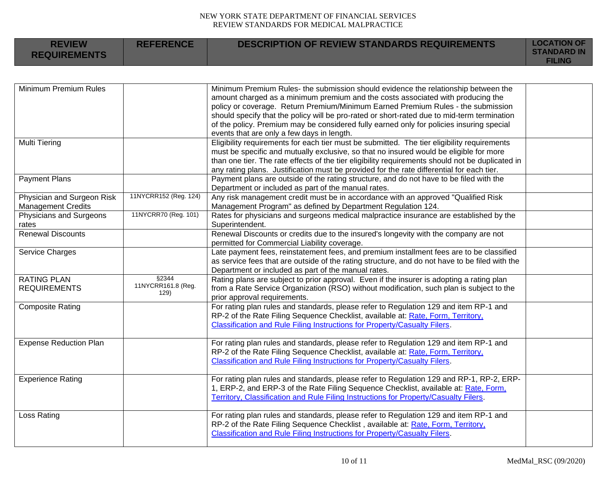| <b>REVIEW</b><br><b>REQUIREMENTS</b> | <b>REFERENCE</b>           | <b>DESCRIPTION OF REVIEW STANDARDS REQUIREMENTS</b>                                              | <b>LOCATION OF</b><br><b>STANDARD IN</b><br><b>FILING</b> |
|--------------------------------------|----------------------------|--------------------------------------------------------------------------------------------------|-----------------------------------------------------------|
|                                      |                            |                                                                                                  |                                                           |
| Minimum Premium Rules                |                            | Minimum Premium Rules- the submission should evidence the relationship between the               |                                                           |
|                                      |                            | amount charged as a minimum premium and the costs associated with producing the                  |                                                           |
|                                      |                            | policy or coverage. Return Premium/Minimum Earned Premium Rules - the submission                 |                                                           |
|                                      |                            | should specify that the policy will be pro-rated or short-rated due to mid-term termination      |                                                           |
|                                      |                            | of the policy. Premium may be considered fully earned only for policies insuring special         |                                                           |
|                                      |                            | events that are only a few days in length.                                                       |                                                           |
| <b>Multi Tiering</b>                 |                            | Eligibility requirements for each tier must be submitted. The tier eligibility requirements      |                                                           |
|                                      |                            | must be specific and mutually exclusive, so that no insured would be eligible for more           |                                                           |
|                                      |                            | than one tier. The rate effects of the tier eligibility requirements should not be duplicated in |                                                           |
|                                      |                            | any rating plans. Justification must be provided for the rate differential for each tier.        |                                                           |
| <b>Payment Plans</b>                 |                            | Payment plans are outside of the rating structure, and do not have to be filed with the          |                                                           |
|                                      |                            | Department or included as part of the manual rates.                                              |                                                           |
| Physician and Surgeon Risk           | 11NYCRR152 (Reg. 124)      | Any risk management credit must be in accordance with an approved "Qualified Risk                |                                                           |
| <b>Management Credits</b>            |                            | Management Program" as defined by Department Regulation 124.                                     |                                                           |
| Physicians and Surgeons              | 11NYCRR70 (Reg. 101)       | Rates for physicians and surgeons medical malpractice insurance are established by the           |                                                           |
| rates                                |                            | Superintendent.                                                                                  |                                                           |
| <b>Renewal Discounts</b>             |                            | Renewal Discounts or credits due to the insured's longevity with the company are not             |                                                           |
|                                      |                            | permitted for Commercial Liability coverage.                                                     |                                                           |
| Service Charges                      |                            | Late payment fees, reinstatement fees, and premium installment fees are to be classified         |                                                           |
|                                      |                            | as service fees that are outside of the rating structure, and do not have to be filed with the   |                                                           |
|                                      |                            | Department or included as part of the manual rates.                                              |                                                           |
| <b>RATING PLAN</b>                   | §2344                      | Rating plans are subject to prior approval. Even if the insurer is adopting a rating plan        |                                                           |
| <b>REQUIREMENTS</b>                  | 11NYCRR161.8 (Reg.<br>129) | from a Rate Service Organization (RSO) without modification, such plan is subject to the         |                                                           |
|                                      |                            | prior approval requirements.                                                                     |                                                           |
| <b>Composite Rating</b>              |                            | For rating plan rules and standards, please refer to Regulation 129 and item RP-1 and            |                                                           |
|                                      |                            | RP-2 of the Rate Filing Sequence Checklist, available at: Rate, Form, Territory,                 |                                                           |
|                                      |                            | Classification and Rule Filing Instructions for Property/Casualty Filers.                        |                                                           |
| <b>Expense Reduction Plan</b>        |                            | For rating plan rules and standards, please refer to Regulation 129 and item RP-1 and            |                                                           |
|                                      |                            | RP-2 of the Rate Filing Sequence Checklist, available at: Rate, Form, Territory,                 |                                                           |
|                                      |                            | Classification and Rule Filing Instructions for Property/Casualty Filers.                        |                                                           |
|                                      |                            |                                                                                                  |                                                           |
| <b>Experience Rating</b>             |                            | For rating plan rules and standards, please refer to Regulation 129 and RP-1, RP-2, ERP-         |                                                           |
|                                      |                            | 1, ERP-2, and ERP-3 of the Rate Filing Sequence Checklist, available at: Rate, Form,             |                                                           |
|                                      |                            | Territory, Classification and Rule Filing Instructions for Property/Casualty Filers.             |                                                           |
|                                      |                            |                                                                                                  |                                                           |
| Loss Rating                          |                            | For rating plan rules and standards, please refer to Regulation 129 and item RP-1 and            |                                                           |
|                                      |                            | RP-2 of the Rate Filing Sequence Checklist, available at: Rate, Form, Territory,                 |                                                           |
|                                      |                            | Classification and Rule Filing Instructions for Property/Casualty Filers.                        |                                                           |
|                                      |                            |                                                                                                  |                                                           |